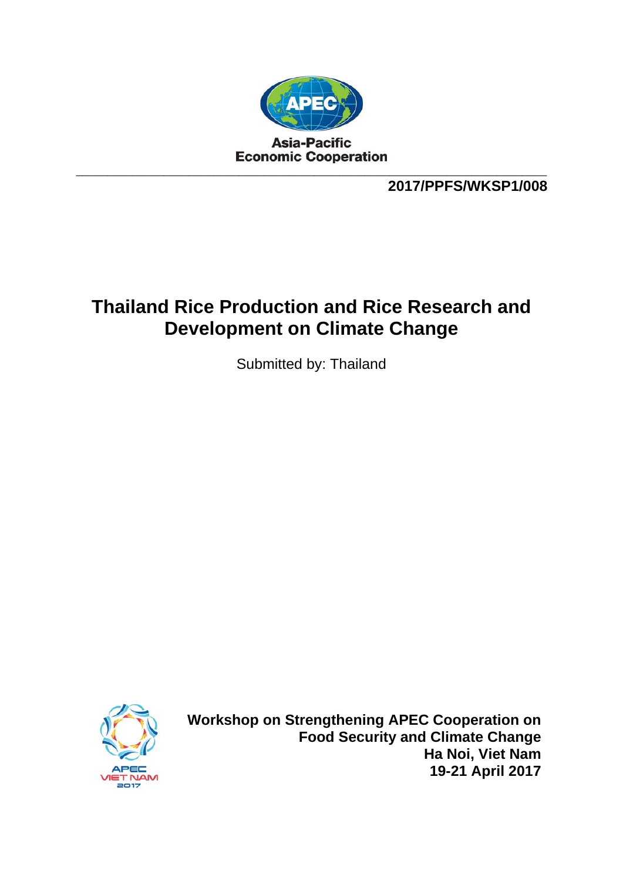

**2017/PPFS/WKSP1/008** 

## **Thailand Rice Production and Rice Research and Development on Climate Change**

Submitted by: Thailand



**Workshop on Strengthening APEC Cooperation on Food Security and Climate Change Ha Noi, Viet Nam 19-21 April 2017**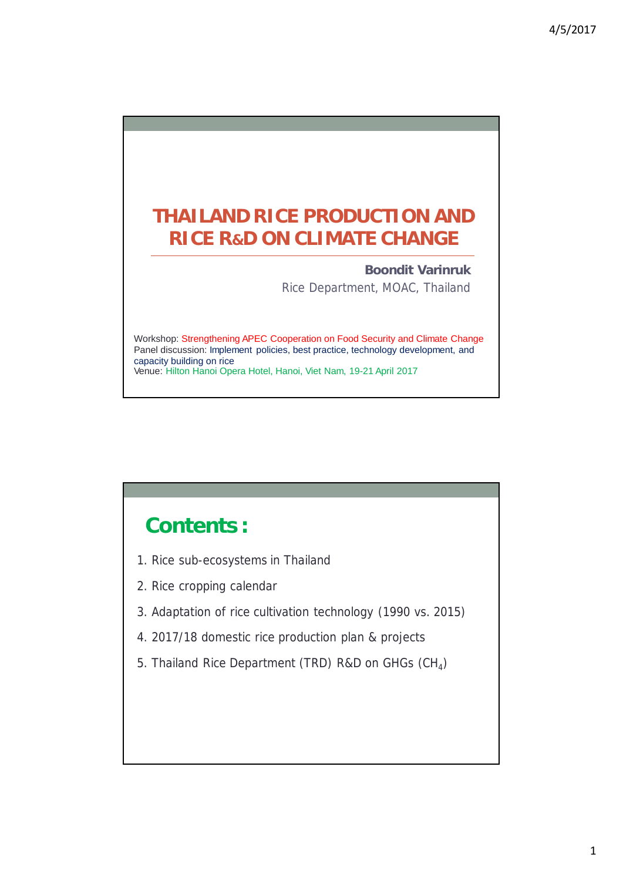## **THAILAND RICE PRODUCTION AND RICE R&D ON CLIMATE CHANGE**

**Boondit Varinruk** Rice Department, MOAC, Thailand

Workshop: Strengthening APEC Cooperation on Food Security and Climate Change Panel discussion: Implement policies, best practice, technology development, and capacity building on rice Venue: Hilton Hanoi Opera Hotel, Hanoi, Viet Nam, 19-21 April 2017

## **Contents :**

- 1. Rice sub-ecosystems in Thailand
- 2. Rice cropping calendar
- 3. Adaptation of rice cultivation technology (1990 vs. 2015)
- 4. 2017/18 domestic rice production plan & projects
- 5. Thailand Rice Department (TRD) R&D on GHGs (CH<sub>4</sub>)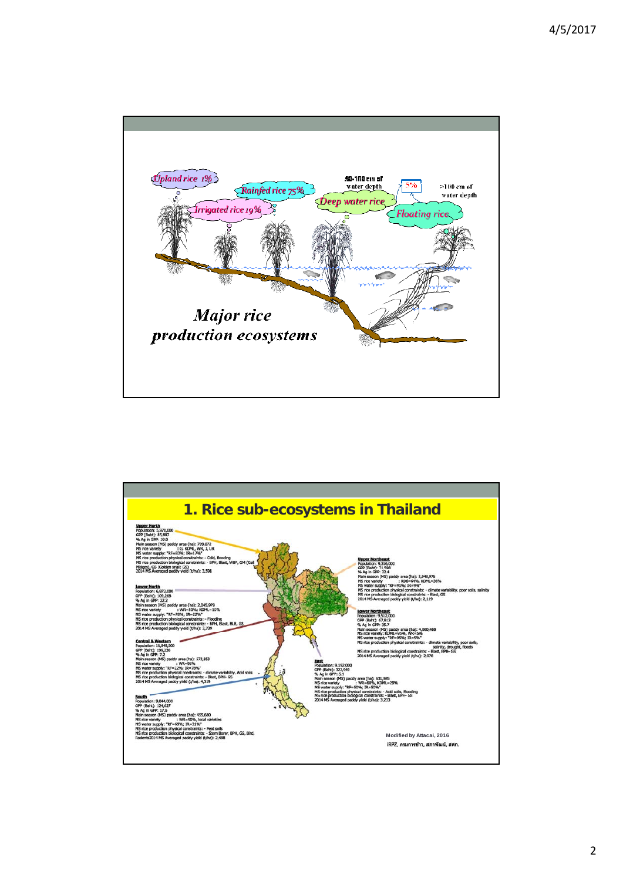

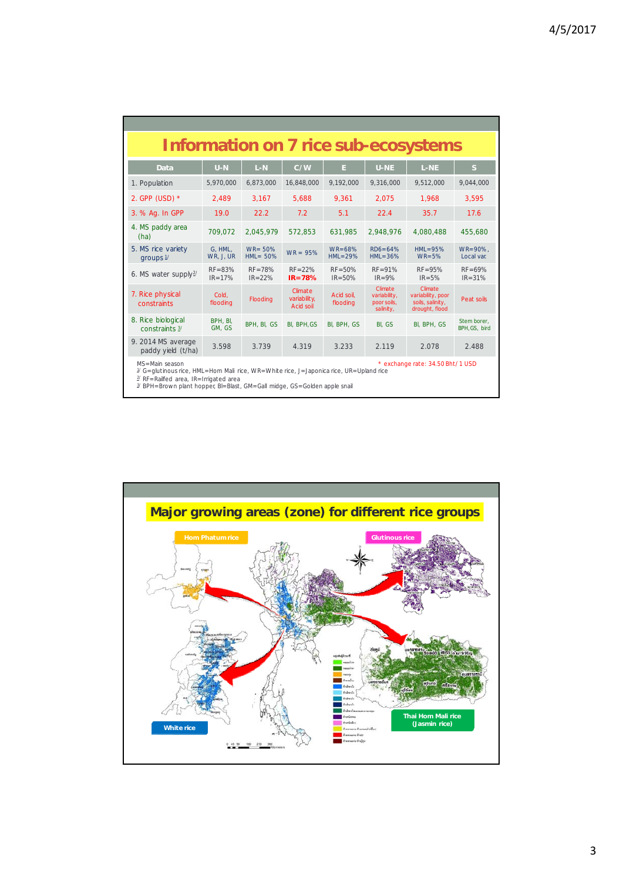|                                                                                                                      | <b>Information on 7 rice sub-ecosystems</b> |                           |                                      |                           |                                                     |                                                                    |                             |  |  |  |
|----------------------------------------------------------------------------------------------------------------------|---------------------------------------------|---------------------------|--------------------------------------|---------------------------|-----------------------------------------------------|--------------------------------------------------------------------|-----------------------------|--|--|--|
| Data                                                                                                                 | $U-N$                                       | $L-N$                     | C/W                                  | E.                        | <b>U-NE</b>                                         | $L-NE$                                                             | S.                          |  |  |  |
| 1. Population                                                                                                        | 5,970,000                                   | 6,873,000                 | 16,848,000                           | 9.192.000                 | 9.316.000                                           | 9,512,000                                                          | 9,044,000                   |  |  |  |
| 2. GPP (USD) $*$                                                                                                     | 2,489                                       | 3,167                     | 5,688                                | 9,361                     | 2,075                                               | 1,968                                                              | 3,595                       |  |  |  |
| 3. % Ag. In GPP                                                                                                      | 19.0                                        | 22.2                      | 7.2                                  | 5.1                       | 22.4                                                | 35.7                                                               | 17.6                        |  |  |  |
| 4. MS paddy area<br>(ha)                                                                                             | 709.072                                     | 2.045.979                 | 572.853                              | 631,985                   | 2.948.976                                           | 4.080.488                                                          | 455,680                     |  |  |  |
| 5. MS rice variety<br>groups $1/$                                                                                    | G. HML.<br>WR, J, UR                        | $WR = 50%$<br>$HML = 50%$ | $WR = 95%$                           | $WR = 68%$<br>$HML = 29%$ | $RD6 = 64%$<br>$HML = 36%$                          | $HML = 95%$<br>$WR=5%$                                             | $WR = 90\%$ .<br>Local var. |  |  |  |
| 6. MS water supply $2/$                                                                                              | $RF = 83%$<br>$IR = 17%$                    | $RF = 78%$<br>$IR = 22%$  | $RF = 22%$<br>$IR = 78%$             | $RF = 50%$<br>$IR = 50%$  | $RF = 91%$<br>$IR = 9%$                             | $RF = 95%$<br>$IR = 5%$                                            | $RF = 69%$<br>$IR = 31%$    |  |  |  |
| 7. Rice physical<br>constraints                                                                                      | Cold.<br>flooding                           | <b>Flooding</b>           | Climate<br>variability,<br>Acid soil | Acid soil.<br>flooding    | Climate<br>variability,<br>poor soils,<br>salinity, | Climate<br>variability, poor<br>soils, salinity,<br>drought, flood | Peat soils                  |  |  |  |
| 8. Rice biological<br>constraints 3/                                                                                 | BPH. BI.<br>GM. GS                          | BPH, BI, GS               | BI, BPH, GS                          | BI, BPH, GS               | BI. GS                                              | BI, BPH, GS                                                        | Stem borer.<br>BPH.GS. bird |  |  |  |
| 9. 2014 MS average<br>paddy yield (t/ha)                                                                             | 3.598                                       | 3.739                     | 4.319                                | 3.233                     | 2.119                                               | 2.078                                                              | 2.488                       |  |  |  |
| $MS = Main$ season<br>$1/C$ alutinous rise. $LIM$ Hem Meli rise, $MD$ White rise. L. Japanice rise, HD, Holand rise. |                                             |                           |                                      |                           |                                                     | * exchange rate: 34.50 Bht/ 1 USD                                  |                             |  |  |  |

½ G=glutinous rice, HML=Hom Mali rice, WR=White rice, J=Japonica rice, UR=Upland rice<br>2′ RF=Railfed area, IR=Irrigated area<br>2′ BPH=Brown plant hopper, Bl=Blast, GM=Gall midge, GS=Golden apple snail

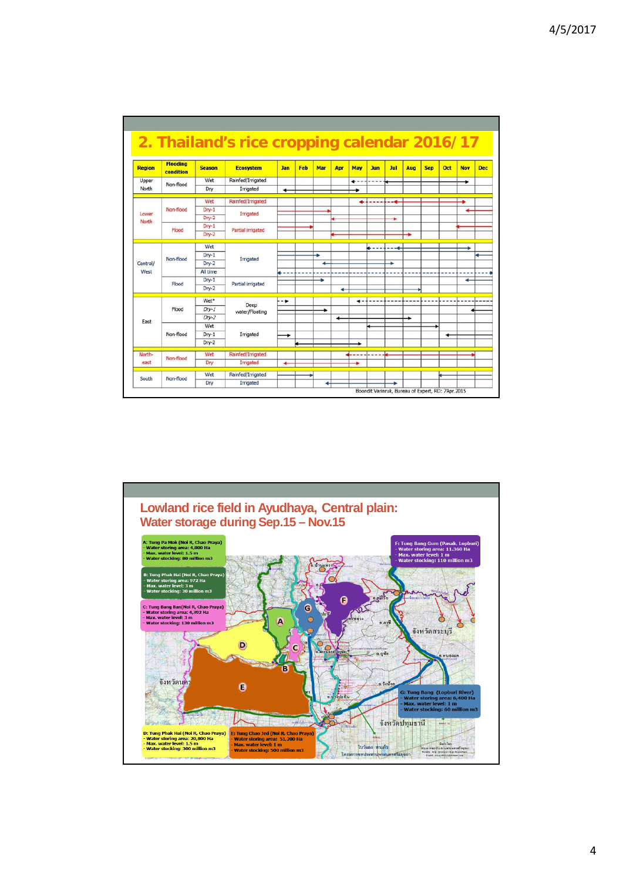|                |                              |                  | 2. Thailand's rice cropping calendar 2016/17 |            |     |     |     |      |            |      |      |            |     |            |            |
|----------------|------------------------------|------------------|----------------------------------------------|------------|-----|-----|-----|------|------------|------|------|------------|-----|------------|------------|
| <b>Region</b>  | <b>Flooding</b><br>condition | <b>Season</b>    | <b>Ecosystem</b>                             | <b>Jan</b> | Feb | Mar | Apr | May  | <b>Jun</b> | Jul  | Aug  | <b>Sep</b> | Oct | <b>Nov</b> | <b>Dec</b> |
| Upper          | Non-flood                    | Wet              | Rainfed/Irrigated                            |            |     |     |     | +--- | -          |      |      |            |     | ۰          |            |
| North          |                              | Dry              | Irrigated                                    | ۰          |     |     |     |      |            |      |      |            |     |            |            |
|                |                              | Wet              | Rainfed/Irrigated                            |            |     |     |     | ۰    |            | --4  |      |            |     |            |            |
|                | Non-flood                    | $Dry-1$          |                                              |            |     |     |     |      |            |      |      |            |     |            |            |
| Lower<br>North |                              | Dry-2            | Irrigated                                    |            |     |     |     |      |            | ۰    |      |            |     |            |            |
|                | Flood                        | $Drv-1$          | Partial irrigated                            |            |     |     |     |      |            |      |      |            |     |            |            |
|                |                              | Dry-2            |                                              |            |     |     |     |      |            |      |      |            |     |            |            |
|                |                              | Wet              |                                              |            |     |     |     |      | 6----      |      |      |            |     |            |            |
|                |                              | $Dry-1$          | Irrigated                                    |            |     |     |     |      |            |      |      |            |     |            |            |
| Central/       | Non-flood                    | $Drv-2$          |                                              |            |     | ٠   |     |      |            | ۰    |      |            |     |            |            |
| West           |                              | All time         |                                              | --         |     |     |     |      |            |      |      |            |     |            |            |
|                | Flood                        | $Drv-1$          | Partial irrigated                            |            |     | ۰   |     |      |            |      |      |            |     | ۰          |            |
|                |                              | Dry-2            |                                              |            |     |     | ۰   |      |            |      |      |            |     |            |            |
|                |                              | Wet <sup>*</sup> |                                              | - ₩        |     |     |     | 4-4  | ----       | ---- | ---- | --         | --- |            |            |
|                | Flood                        | $Dry-1$          | Deep<br>water/Floating                       |            |     | ۰   |     |      |            |      |      |            |     |            |            |
|                |                              | $Dry-2$          |                                              |            |     |     |     |      |            |      |      |            |     |            |            |
| East           |                              | Wet              |                                              |            |     |     |     |      |            |      |      |            |     |            |            |
|                | Non-flood                    | $Dry-1$          | Irrigated                                    |            |     |     |     |      |            |      |      |            | ۰   |            |            |
|                |                              | Dry-2            |                                              |            |     |     |     |      |            |      |      |            |     |            |            |
| North-         |                              | Wet              | Rainfed/Irrigated                            |            |     |     |     |      |            |      |      |            |     |            |            |
| east           | Non-flood                    | Dry              | Irrigated                                    |            |     |     |     |      |            |      |      |            |     |            |            |
|                |                              | Wet              | Rainfed/Irrigated                            |            |     |     |     |      |            |      |      |            |     |            |            |
| South          | Non-flood                    | Dry              | Irrigated                                    |            |     |     |     |      |            |      |      |            |     |            |            |

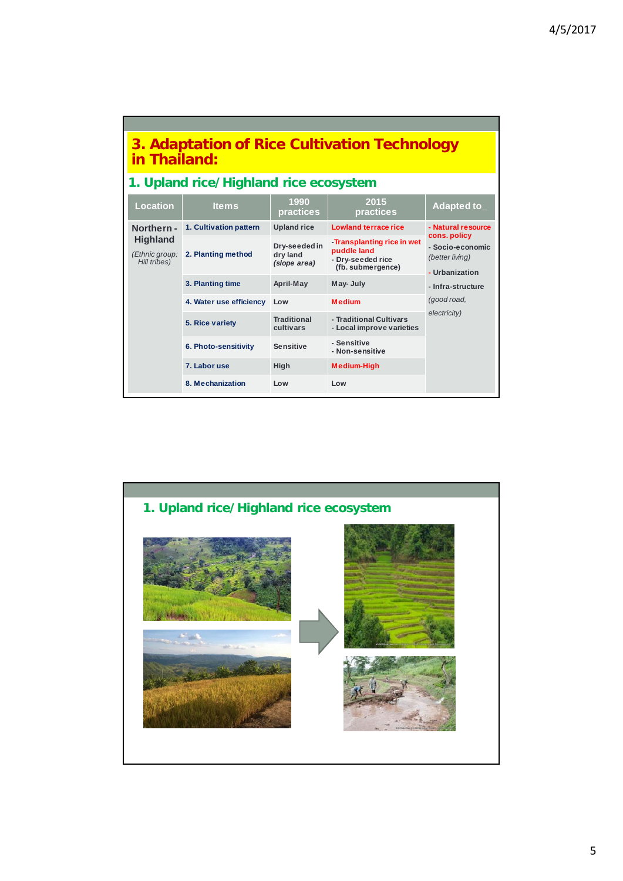| 3. Adaptation of Rice Cultivation Technology<br>in Thailand: |                         |                                           |                                                                                     |                                                       |  |  |  |  |  |  |
|--------------------------------------------------------------|-------------------------|-------------------------------------------|-------------------------------------------------------------------------------------|-------------------------------------------------------|--|--|--|--|--|--|
| 1. Upland rice/Highland rice ecosystem                       |                         |                                           |                                                                                     |                                                       |  |  |  |  |  |  |
| <b>Location</b>                                              | <b>Items</b>            | 1990<br>practices                         | 2015<br>practices                                                                   | Adapted to                                            |  |  |  |  |  |  |
| Northern-                                                    | 1. Cultivation pattern  | <b>Upland rice</b>                        | <b>Lowland terrace rice</b>                                                         | - Natural resource<br>cons. policy                    |  |  |  |  |  |  |
| <b>Highland</b><br>(Ethnic group:<br>Hill tribes)            | 2. Planting method      | Dry-seeded in<br>dry land<br>(slope area) | -Transplanting rice in wet<br>puddle land<br>- Dry-seeded rice<br>(fb. submergence) | - Socio-economic<br>(better living)<br>- Urbanization |  |  |  |  |  |  |
|                                                              | 3. Planting time        | April-May                                 | May-July                                                                            | - Infra-structure                                     |  |  |  |  |  |  |
|                                                              | 4. Water use efficiency | Low                                       | <b>Medium</b>                                                                       | (good road,                                           |  |  |  |  |  |  |
|                                                              | 5. Rice variety         | <b>Traditional</b><br>cultivars           | - Traditional Cultivars<br>- Local improve varieties                                | electricity)                                          |  |  |  |  |  |  |
|                                                              | 6. Photo-sensitivity    | <b>Sensitive</b>                          | - Sensitive<br>- Non-sensitive                                                      |                                                       |  |  |  |  |  |  |
|                                                              | 7. Labor use            | High                                      | <b>Medium-High</b>                                                                  |                                                       |  |  |  |  |  |  |
|                                                              | 8. Mechanization        | Low                                       | Low                                                                                 |                                                       |  |  |  |  |  |  |

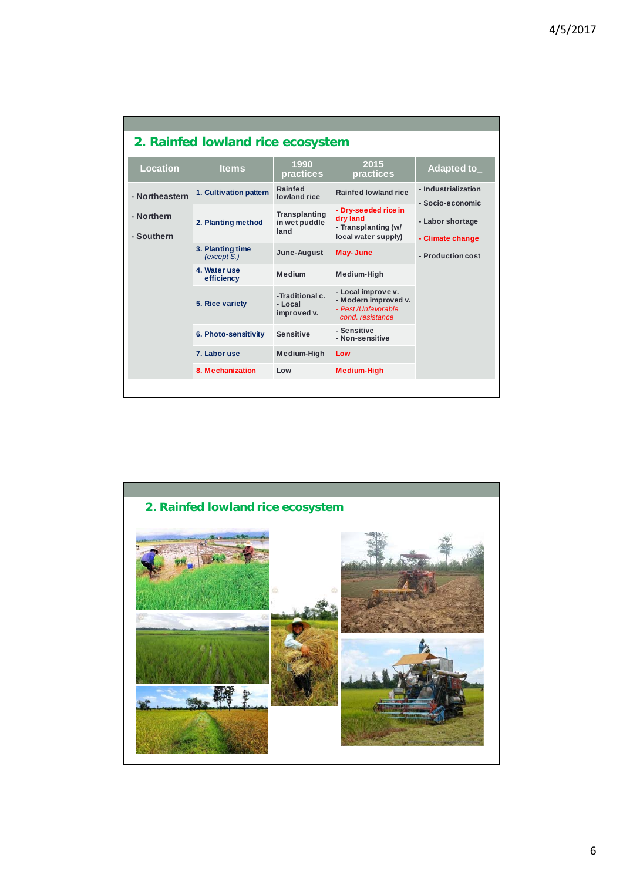|                          | 2. Rainfed lowland rice ecosystem |                                               |                                                                                      |                                                           |  |  |  |  |  |  |
|--------------------------|-----------------------------------|-----------------------------------------------|--------------------------------------------------------------------------------------|-----------------------------------------------------------|--|--|--|--|--|--|
| <b>Location</b>          | <b>Items</b>                      | 1990<br>practices                             | 2015<br>practices                                                                    | Adapted to_                                               |  |  |  |  |  |  |
| - Northeastern           | 1. Cultivation pattern            | Rainfed<br>lowland rice                       | Rainfed lowland rice                                                                 | - Industrialization<br>- Socio-economic                   |  |  |  |  |  |  |
| - Northern<br>- Southern | 2. Planting method                | <b>Transplanting</b><br>in wet puddle<br>land | - Dry-seeded rice in<br>dry land<br>- Transplanting (w/<br>local water supply)       | - Labor shortage<br>- Climate change<br>- Production cost |  |  |  |  |  |  |
|                          | 3. Planting time<br>(except S.)   | June-August                                   | May-June                                                                             |                                                           |  |  |  |  |  |  |
|                          | 4. Water use<br>efficiency        | <b>Medium</b>                                 | Medium-High                                                                          |                                                           |  |  |  |  |  |  |
|                          | 5. Rice variety                   | -Traditional c.<br>- Local<br>improved v.     | - Local improve v.<br>- Modern improved v.<br>- Pest/Unfavorable<br>cond. resistance |                                                           |  |  |  |  |  |  |
|                          | 6. Photo-sensitivity              | <b>Sensitive</b>                              | - Sensitive<br>- Non-sensitive                                                       |                                                           |  |  |  |  |  |  |
|                          | 7. Labor use                      | Medium-High                                   | Low                                                                                  |                                                           |  |  |  |  |  |  |
|                          | 8. Mechanization                  | Low                                           | <b>Medium-High</b>                                                                   |                                                           |  |  |  |  |  |  |
|                          |                                   |                                               |                                                                                      |                                                           |  |  |  |  |  |  |

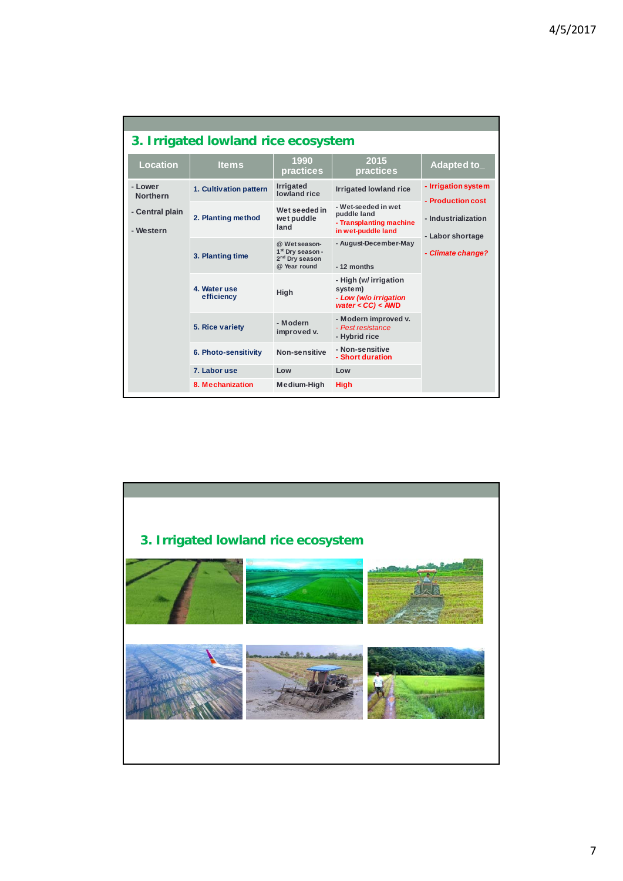|                              | 3. Irrigated lowland rice ecosystem |                                                                                             |                                                                                     |                                          |  |
|------------------------------|-------------------------------------|---------------------------------------------------------------------------------------------|-------------------------------------------------------------------------------------|------------------------------------------|--|
| <b>Location</b>              | <b>Items</b>                        | 1990<br>practices                                                                           | 2015<br>practices                                                                   | Adapted to                               |  |
| - Lower<br><b>Northern</b>   | 1. Cultivation pattern              | Irrigated<br>lowland rice                                                                   | <b>Irrigated lowland rice</b>                                                       | - Irrigation system<br>- Production cost |  |
| - Central plain<br>- Western | 2. Planting method                  | Wet seeded in<br>wet puddle<br>land                                                         | - Wet-seeded in wet<br>puddle land<br>- Transplanting machine<br>in wet-puddle land | - Industrialization<br>- Labor shortage  |  |
|                              | 3. Planting time                    | @ Wet season-<br>1 <sup>st</sup> Dry season -<br>2 <sup>nd</sup> Drv season<br>@ Year round | - August-December-May<br>$-12$ months                                               | - Climate change?                        |  |
|                              | 4. Water use<br>efficiency          | High                                                                                        | - High (w/ irrigation<br>system)<br>- Low (w/o irrigation<br>water $<$ CC) $<$ AWD  |                                          |  |
|                              | 5. Rice variety                     | - Modern<br>improved v.                                                                     | - Modern improved v.<br>- Pest resistance<br>- Hybrid rice                          |                                          |  |
|                              | 6. Photo-sensitivity                | Non-sensitive                                                                               | - Non-sensitive<br>- Short duration                                                 |                                          |  |
|                              | 7. Labor use                        | Low                                                                                         | Low                                                                                 |                                          |  |
|                              | 8. Mechanization                    | Medium-High                                                                                 | <b>High</b>                                                                         |                                          |  |

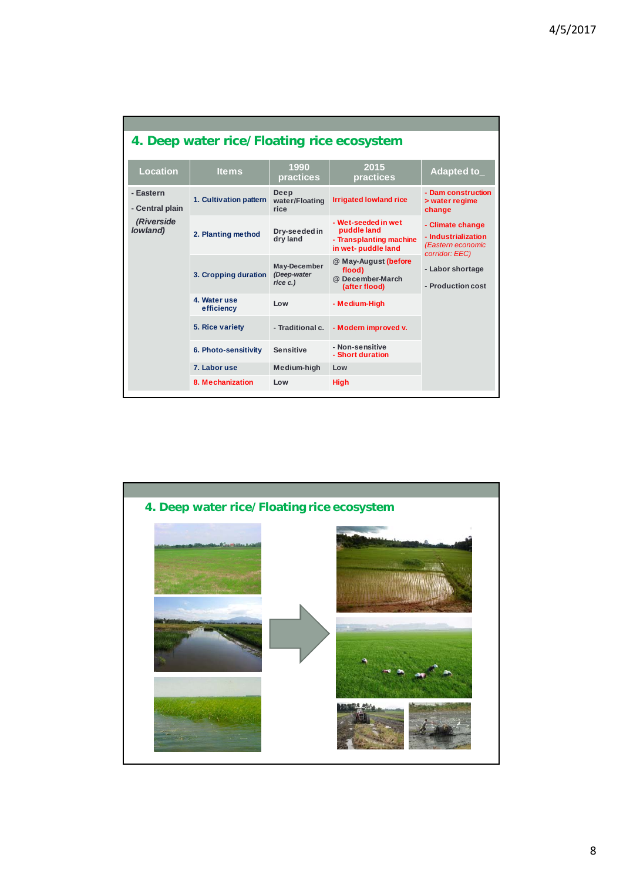|                              | 4. Deep water rice/Floating rice ecosystem |                                         |                                                                                     |                                                                                |  |  |  |  |  |  |  |
|------------------------------|--------------------------------------------|-----------------------------------------|-------------------------------------------------------------------------------------|--------------------------------------------------------------------------------|--|--|--|--|--|--|--|
| <b>Location</b>              | <b>Items</b>                               | 1990<br>practices                       | 2015<br>practices                                                                   | Adapted to                                                                     |  |  |  |  |  |  |  |
| - Eastern<br>- Central plain | 1. Cultivation pattern                     | Deep<br>water/Floating<br>rice          | <b>Irrigated lowland rice</b>                                                       | - Dam construction<br>> water regime<br>change                                 |  |  |  |  |  |  |  |
| (Riverside<br>lowland)       | 2. Planting method                         | Dry-seeded in<br>dry land               | - Wet-seeded in wet<br>puddle land<br>- Transplanting machine<br>in wet-puddle land | - Climate change<br>- Industrialization<br>(Eastern economic<br>corridor: EEC) |  |  |  |  |  |  |  |
|                              | 3. Cropping duration                       | May-December<br>(Deep-water<br>rice c.) | @ May-August (before<br>flood)<br>@ December-March<br>(after flood)                 | - Labor shortage<br>- Production cost                                          |  |  |  |  |  |  |  |
|                              | 4. Water use<br>efficiency                 | Low                                     | - Medium-High                                                                       |                                                                                |  |  |  |  |  |  |  |
|                              | 5. Rice variety                            | - Traditional c.                        | - Modern improved v.                                                                |                                                                                |  |  |  |  |  |  |  |
|                              | 6. Photo-sensitivity                       | <b>Sensitive</b>                        | - Non-sensitive<br>- Short duration                                                 |                                                                                |  |  |  |  |  |  |  |
|                              | 7. Labor use                               | Medium-high                             | Low                                                                                 |                                                                                |  |  |  |  |  |  |  |
|                              | 8. Mechanization                           | Low                                     | <b>High</b>                                                                         |                                                                                |  |  |  |  |  |  |  |

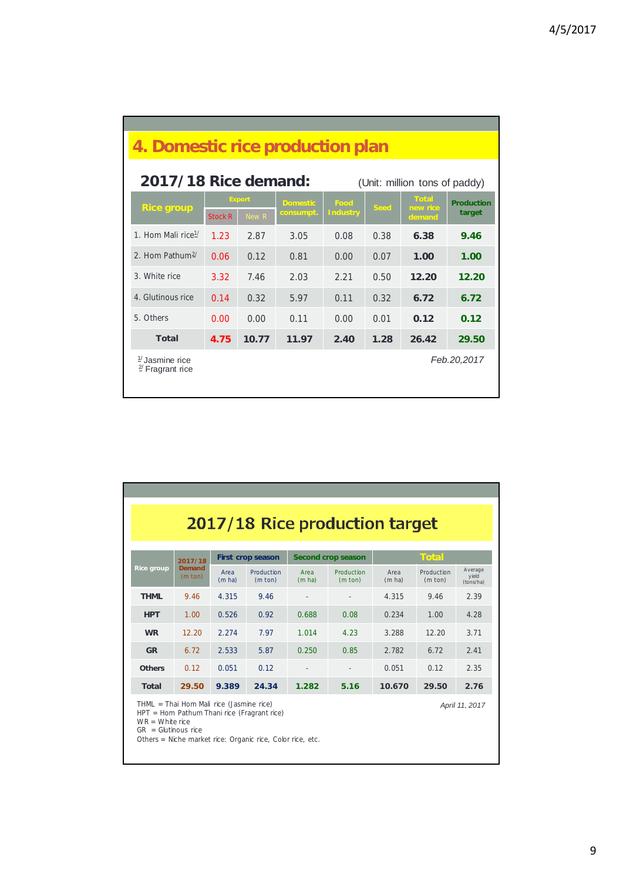| 4. Domestic rice production plan                            |                |                        |                              |                         |             |                                    |                             |  |  |
|-------------------------------------------------------------|----------------|------------------------|------------------------------|-------------------------|-------------|------------------------------------|-----------------------------|--|--|
| 2017/18 Rice demand:<br>(Unit: million tons of paddy)       |                |                        |                              |                         |             |                                    |                             |  |  |
| <b>Rice group</b>                                           | <b>Stock R</b> | <b>Export</b><br>New R | <b>Domestic</b><br>consumpt. | Food<br><b>Industry</b> | <b>Seed</b> | <b>Total</b><br>new rice<br>demand | <b>Production</b><br>target |  |  |
| 1. Hom Mali rice <sup>1/</sup>                              | 1.23           | 2.87                   | 3.05                         | 0.08                    | 0.38        | 6.38                               | 9.46                        |  |  |
| 2. Hom Pathum <sup>2/</sup>                                 | 0.06           | 0.12                   | 0.81                         | 0.00                    | 0.07        | 1.00                               | 1.00                        |  |  |
| 3. White rice                                               | 3.32           | 7.46                   | 2.03                         | 2.21                    | 0.50        | 12.20                              | 12.20                       |  |  |
| 4. Glutinous rice                                           | 0.14           | 0.32                   | 5.97                         | 0.11                    | 0.32        | 6.72                               | 6.72                        |  |  |
| 5. Others                                                   | 0.00           | 0.00                   | 0.11                         | 0.00                    | 0.01        | 0.12                               | 0.12                        |  |  |
| Total                                                       | 4.75           | 10.77                  | 11.97                        | 2.40                    | 1.28        | 26.42                              | 29.50                       |  |  |
| $\frac{1}{2}$ , Jasmine rice<br>$\frac{2}{3}$ Fragrant rice |                |                        |                              |                         |             |                                    | Feb.20,2017                 |  |  |

| 2017/18 Rice production target                                                                                                                                                                                        |                                    |                |                                 |                |                                 |                |                                 |                               |  |  |
|-----------------------------------------------------------------------------------------------------------------------------------------------------------------------------------------------------------------------|------------------------------------|----------------|---------------------------------|----------------|---------------------------------|----------------|---------------------------------|-------------------------------|--|--|
| <b>Total</b><br><b>Second crop season</b><br>First crop season<br>2017/18                                                                                                                                             |                                    |                |                                 |                |                                 |                |                                 |                               |  |  |
| <b>Rice group</b>                                                                                                                                                                                                     | <b>Demand</b><br>$(m \text{ ton})$ | Area<br>(m ha) | Production<br>$(m \text{ ton})$ | Area<br>(m ha) | Production<br>$(m \text{ ton})$ | Area<br>(m ha) | Production<br>$(m \text{ ton})$ | Average<br>yield<br>(tons/ha) |  |  |
| <b>THML</b>                                                                                                                                                                                                           | 9.46                               | 4.315          | 9.46                            |                |                                 | 4.315          | 9.46                            | 2.39                          |  |  |
| <b>HPT</b>                                                                                                                                                                                                            | 1.00                               | 0.526          | 0.92                            | 0.688          | 0.08                            | 0.234          | 1.00                            | 4.28                          |  |  |
| <b>WR</b>                                                                                                                                                                                                             | 12.20                              | 2.274          | 7.97                            | 1.014          | 4.23                            | 3.288          | 12.20                           | 3.71                          |  |  |
| <b>GR</b>                                                                                                                                                                                                             | 6.72                               | 2.533          | 5.87                            | 0.250          | 0.85                            | 2.782          | 6.72                            | 2.41                          |  |  |
| <b>Others</b>                                                                                                                                                                                                         | 0.12                               | 0.051          | 0.12                            |                |                                 | 0.051          | 0.12                            | 2.35                          |  |  |
| <b>Total</b>                                                                                                                                                                                                          | 29.50                              | 9.389          | 24.34                           | 1.282          | 5.16                            | 10.670         | 29.50                           | 2.76                          |  |  |
| THML = Thai Hom Mali rice (Jasmine rice)<br>April 11, 2017<br>HPT = Hom Pathum Thani rice (Fragrant rice)<br>$WR = White$ rice<br>$GR = Glutinous rice$<br>Others = Niche market rice: Organic rice, Color rice, etc. |                                    |                |                                 |                |                                 |                |                                 |                               |  |  |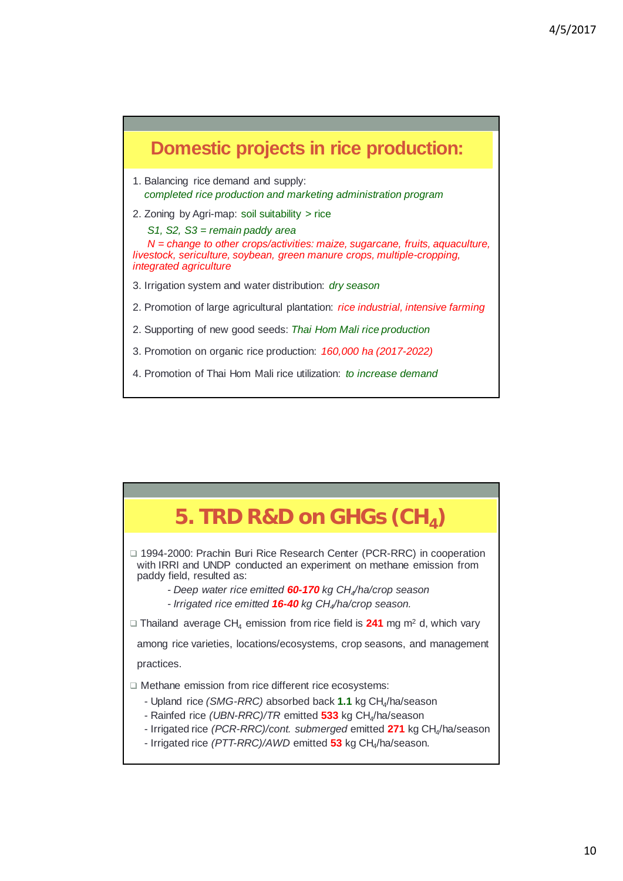

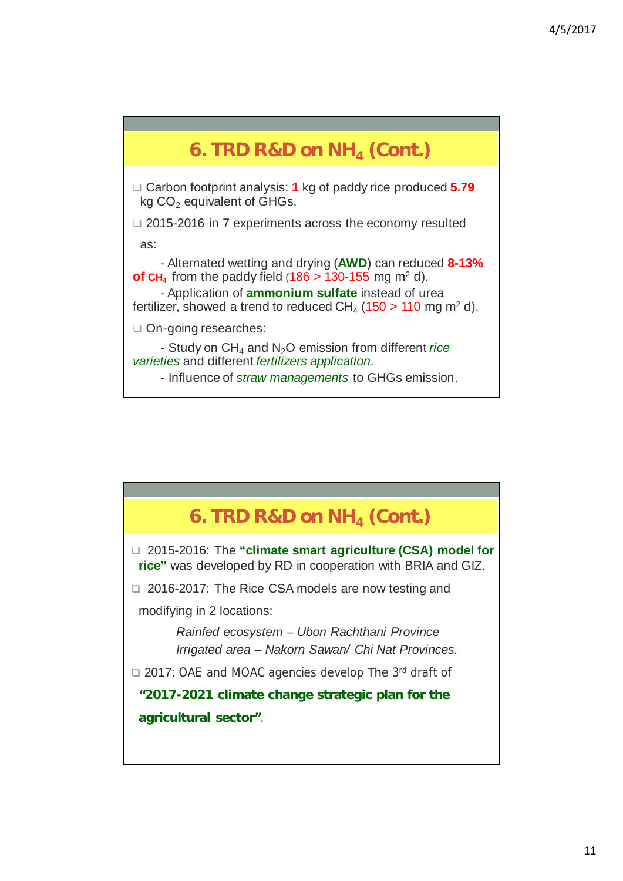